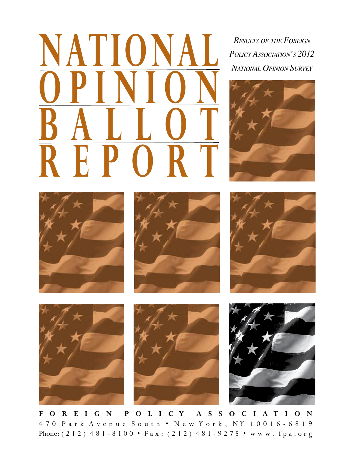**POLICY AND AND POLICY ASSOCIATION'S 2012**<br>**POLICY ASSOCIATION'S 2012 O p i n i o n B a l l o t Repo r t**

```
Results of the Foreign
```














**F o r e i g n P o l i c y A s s o c i a t i o n** 4 7 0 P a r k A v e n u e S o u t h • N e w Y o r k , N Y 1 0 0 1 6 - 6 8 1 9 Phone: (212) 481 - 8100 • Fax: (212) 481 - 9275 • www.fpa.org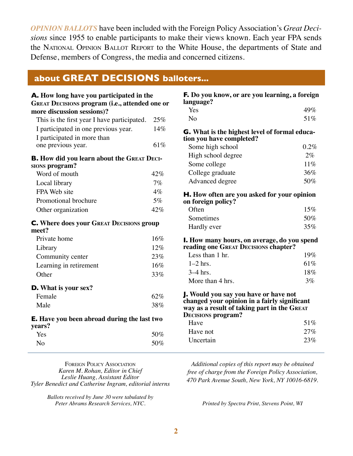*Opinion ballots* have been included with the Foreign Policy Association's *Great Decisions* since 1955 to enable participants to make their views known. Each year FPA sends the NATIONAL OPINION BALLOT REPORT to the White House, the departments of State and Defense, members of Congress, the media and concerned citizens.

#### **about Great Decisions balloters...**

| A. How long have you participated in the<br><b>GREAT DECISIONS program (i.e., attended one or</b><br>more discussion sessions)? |        |
|---------------------------------------------------------------------------------------------------------------------------------|--------|
| This is the first year I have participated.                                                                                     | 25%    |
| I participated in one previous year.                                                                                            | 14%    |
| I participated in more than                                                                                                     |        |
| one previous year.                                                                                                              | $61\%$ |
| <b>B.</b> How did you learn about the GREAT DECI-<br><b>SIONS program?</b>                                                      |        |
| Word of mouth                                                                                                                   | 42%    |
| Local library                                                                                                                   | 7%     |
| FPA Web site                                                                                                                    | $4\%$  |
| Promotional brochure                                                                                                            | 5%     |
| Other organization                                                                                                              | 42%    |
| <b>C.</b> Where does your GREAT DECISIONS group<br>meet?                                                                        |        |
| Private home                                                                                                                    | 16%    |
| Library                                                                                                                         | 12%    |
| Community center                                                                                                                | 23%    |
| Learning in retirement                                                                                                          | 16%    |
| Other                                                                                                                           | 33%    |
| <b>D.</b> What is your sex?                                                                                                     |        |
| Female                                                                                                                          | 62%    |
| Male                                                                                                                            | 38%    |
| <b>E.</b> Have you been abroad during the last two<br>years?                                                                    |        |
| Yes                                                                                                                             | 50%    |
| No                                                                                                                              | 50%    |

| <b>F.</b> Do you know, or are you learning, a foreign<br>language?                                                                                                |      |
|-------------------------------------------------------------------------------------------------------------------------------------------------------------------|------|
| Yes                                                                                                                                                               | 49%  |
| No                                                                                                                                                                | 51%  |
| G. What is the highest level of formal educa-<br>tion you have completed?                                                                                         |      |
| Some high school                                                                                                                                                  | 0.2% |
| High school degree                                                                                                                                                | 2%   |
| Some college                                                                                                                                                      | 11%  |
| College graduate                                                                                                                                                  | 36%  |
| Advanced degree                                                                                                                                                   | 50%  |
| H. How often are you asked for your opinion<br>on foreign policy?                                                                                                 |      |
| Often                                                                                                                                                             | 15%  |
| Sometimes                                                                                                                                                         | 50%  |
| Hardly ever                                                                                                                                                       | 35%  |
| <b>I.</b> How many hours, on average, do you spend<br>reading one GREAT DECISIONS chapter?                                                                        |      |
| Less than 1 hr.                                                                                                                                                   | 19%  |
| $1-2$ hrs.                                                                                                                                                        | 61%  |
| $3-4$ hrs.                                                                                                                                                        | 18%  |
| More than 4 hrs.                                                                                                                                                  | 3%   |
| J. Would you say you have or have not<br>changed your opinion in a fairly significant<br>way as a result of taking part in the GREAT<br><b>DECISIONS program?</b> |      |
| Have                                                                                                                                                              | 51%  |
| Have not                                                                                                                                                          | 27%  |
| Uncertain                                                                                                                                                         | 23%  |

Foreign Policy Association *Karen M. Rohan, Editor in Chief Leslie Huang, Assistant Editor Tyler Benedict and Catherine Ingram, editorial interns*

> *Ballots received by June 30 were tabulated by Peter Abrams Research Services, NYC.*

*Additional copies of this report may be obtained free of charge from the Foreign Policy Association, 470 Park Avenue South, New York, NY 10016-6819.* 

*Printed by Spectra Print, Stevens Point, WI*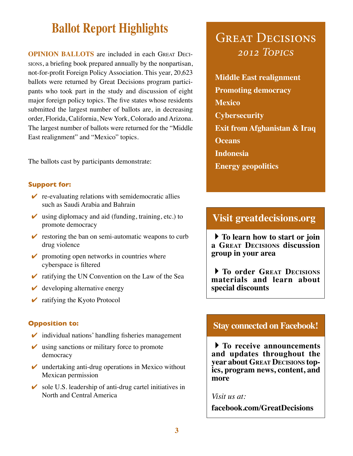## **Ballot Report Highlights GREAT DECISIONS**

**OPINION BALLOTS** are included in each GREAT DECIsions, a briefing book prepared annually by the nonpartisan, not-for-profit Foreign Policy Association. This year, 20,623 ballots were returned by Great Decisions program participants who took part in the study and discussion of eight major foreign policy topics. The five states whose residents submitted the largest number of ballots are, in decreasing order, Florida, California, New York, Colorado and Arizona. The largest number of ballots were returned for the "Middle East realignment" and "Mexico" topics.

The ballots cast by participants demonstrate:

#### **Support for:**

- $\triangleright$  re-evaluating relations with semidemocratic allies such as Saudi Arabia and Bahrain
- $\vee$  using diplomacy and aid (funding, training, etc.) to promote democracy
- $\triangleright$  restoring the ban on semi-automatic weapons to curb drug violence
- $\triangleright$  promoting open networks in countries where cyberspace is filtered
- $\triangleright$  ratifying the UN Convention on the Law of the Sea
- $\vee$  developing alternative energy
- $\triangleright$  ratifying the Kyoto Protocol

#### **Opposition to:**

- $\triangleright$  individual nations' handling fisheries management
- $\vee$  using sanctions or military force to promote democracy
- $\vee$  undertaking anti-drug operations in Mexico without Mexican permission
- $\triangleright$  sole U.S. leadership of anti-drug cartel initiatives in North and Central America

# *2012 Topics*

**Middle East realignment Promoting democracy Mexico Cybersecurity Exit from Afghanistan & Iraq Oceans Indonesia Energy geopolitics**

#### **Visit greatdecisions.org**

**To learn how to start or join a Great Decisions discussion group in your area**

**To order Great Decisions materials and learn about special discounts**

#### **Stay connected on Facebook!**

**To receive announcements and updates throughout the year about Great Decisions topics, program news, content, and more**

*Visit us at:*

**facebook.com/GreatDecisions**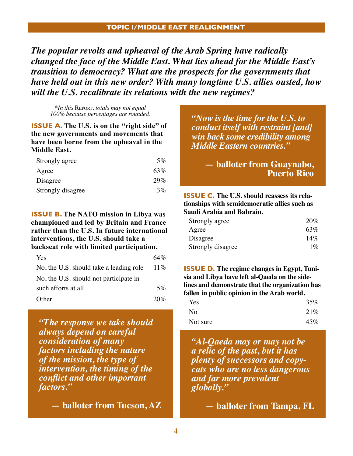*The popular revolts and upheaval of the Arab Spring have radically changed the face of the Middle East. What lies ahead for the Middle East's transition to democracy? What are the prospects for the governments that have held out in this new order? With many longtime U.S. allies ousted, how will the U.S. recalibrate its relations with the new regimes?*

*\*In this* Report*, totals may not equal 100% because percentages are rounded.*

**Issue A. The U.S. is on the "right side" of the new governments and movements that have been borne from the upheaval in the Middle East.**

| Strongly agree    | 5%  |
|-------------------|-----|
| Agree             | 63% |
| Disagree          | 29% |
| Strongly disagree | 3%  |

#### **Issue B. The NATO mission in Libya was championed and led by Britain and France rather than the U.S. In future international interventions, the U.S. should take a backseat role with limited participation.**

| Yes                                     | 64% |
|-----------------------------------------|-----|
| No, the U.S. should take a leading role | 11% |
| No, the U.S. should not participate in  |     |
| such efforts at all                     | 5%  |
| Other                                   | 20% |

*"The response we take should always depend on careful consideration of many factors including the nature of the mission, the type of intervention, the timing of the conflict and other important factors."* 

**— balloter from Tucson, AZ**

*"Now is the time for the U.S. to conduct itself with restraint [and] win back some credibility among Middle Eastern countries."* 

> **— balloter from Guaynabo, Puerto Rico**

**Issue C. The U.S. should reassess its relationships with semidemocratic allies such as Saudi Arabia and Bahrain.**

| Strongly agree    | 20%   |
|-------------------|-------|
| Agree             | 63%   |
| Disagree          | 14%   |
| Strongly disagree | $1\%$ |

**Issue D. The regime changes in Egypt, Tunisia and Libya have left al-Qaeda on the sidelines and demonstrate that the organization has fallen in public opinion in the Arab world.**

| Yes            | 35% |
|----------------|-----|
| N <sub>o</sub> | 21% |
| Not sure       | 45% |

*"Al-Qaeda may or may not be a relic of the past, but it has plenty of successors and copycats who are no less dangerous and far more prevalent globally."*

**— balloter from Tampa, FL**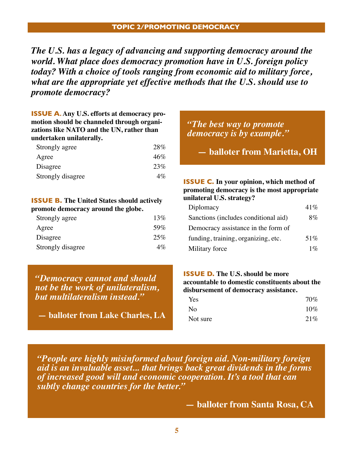*The U.S. has a legacy of advancing and supporting democracy around the world. What place does democracy promotion have in U.S. foreign policy today? With a choice of tools ranging from economic aid to military force, what are the appropriate yet effective methods that the U.S. should use to promote democracy?*

#### **Issue A. Any U.S. efforts at democracy promotion should be channeled through organizations like NATO and the UN, rather than undertaken unilaterally.**

| Strongly agree    | 28%   |
|-------------------|-------|
| Agree             | 46%   |
| Disagree          | 23%   |
| Strongly disagree | $4\%$ |

#### **ISSUE B. The United States should actively promote democracy around the globe.**

| Strongly agree    | 13%   |
|-------------------|-------|
| Agree             | .59%  |
| Disagree          | 25%   |
| Strongly disagree | $4\%$ |

*"Democracy cannot and should not be the work of unilateralism, but multilateralism instead."*

**— balloter from Lake Charles, LA**

#### *"The best way to promote democracy is by example."*

**— balloter from Marietta, OH**

#### **ISSUE C. In your opinion, which method of promoting democracy is the most appropriate unilateral U.S. strategy?**

| Diplomacy                            | $41\%$ |
|--------------------------------------|--------|
| Sanctions (includes conditional aid) | 8%     |
| Democracy assistance in the form of  |        |
| funding, training, organizing, etc.  | 51%    |
| Military force                       | $1\%$  |

#### **ISSUE D.** The U.S. should be more **accountable to domestic constituents about the disbursement of democracy assistance.**

| Yes      | 70%    |
|----------|--------|
| No       | $10\%$ |
| Not sure | 21%    |

*"People are highly misinformed about foreign aid. Non-military foreign aid is an invaluable asset... that brings back great dividends in the forms of increased good will and economic cooperation. It's a tool that can subtly change countries for the better."*

**— balloter from Santa Rosa, CA**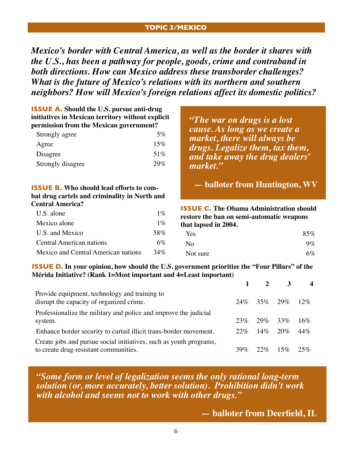#### **Topic 3/Mexico**

*Mexico's border with Central America, as well as the border it shares with the U.S., has been a pathway for people, goods, crime and contraband in both directions. How can Mexico address these transborder challenges? What is the future of Mexico's relations with its northern and southern neighbors? How will Mexico's foreign relations affect its domestic politics?*

| <b>ISSUE A.</b> Should the U.S. pursue anti-drug<br>initiatives in Mexican territory without explicit<br>permission from the Mexican government? |        | "The war on drugs is a lost"<br>cause. As long as we create a |     |
|--------------------------------------------------------------------------------------------------------------------------------------------------|--------|---------------------------------------------------------------|-----|
| Strongly agree                                                                                                                                   | $5\%$  | market, there will always be                                  |     |
| Agree                                                                                                                                            | $15\%$ | drugs. Legalize them, tax them,                               |     |
| Disagree                                                                                                                                         | 51\%   | and take away the drug dealers'                               |     |
| Strongly disagree                                                                                                                                | 29%    | market."                                                      |     |
| <b>ISSUE B.</b> Who should lead efforts to com-                                                                                                  |        | — balloter from Huntington, WV                                |     |
| bat drug cartels and criminality in North and                                                                                                    |        |                                                               |     |
| <b>Central America?</b>                                                                                                                          |        | <b>ISSUE C.</b> The Obama Administration should               |     |
| U.S. alone                                                                                                                                       | $1\%$  | restore the ban on semi-automatic weapons                     |     |
| Mexico alone                                                                                                                                     | $1\%$  | that lapsed in 2004.                                          |     |
| U.S. and Mexico                                                                                                                                  | 58%    | Yes.                                                          | 85% |

Central American nations 6% Mexico and Central American nations 34%

| Yes            | 85%   |
|----------------|-------|
| N <sub>o</sub> | $9\%$ |
| Not sure       | 6%    |

#### **ISSUE D. In your opinion, how should the U.S. government prioritize the "Four Pillars" of the Mérida Initiative? (Rank 1=Most important and 4=Least important)**

|                                                                                                             |     |                | $2 \t3$     | $\boldsymbol{\Lambda}$ |
|-------------------------------------------------------------------------------------------------------------|-----|----------------|-------------|------------------------|
| Provide equipment, technology and training to<br>disrupt the capacity of organized crime.                   |     | 24\% 35\% 29\% |             | 12%                    |
| Professionalize the military and police and improve the judicial<br>system.                                 | 23% |                | $29\%$ 33\% | 16%                    |
| Enhance border security to curtail illicit trans-border movement.                                           | 22% | $14\%$         | 20%         | 44%                    |
| Create jobs and pursue social initiatives, such as youth programs,<br>to create drug-resistant communities. | 39% | $22\%$         | 15%         | 25%                    |

*"Some form or level of legalization seems the only rational long-term solution (or, more accurately, better solution). Prohibition didn't work with alcohol and seems not to work with other drugs."*

**— balloter from Deerfield, IL**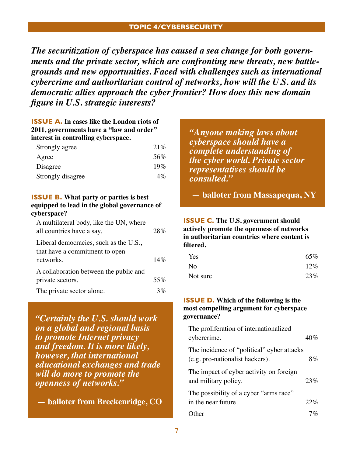#### **Topic 4/cybersecurity**

*The securitization of cyberspace has caused a sea change for both governments and the private sector, which are confronting new threats, new battlegrounds and new opportunities. Faced with challenges such as international cybercrime and authoritarian control of networks, how will the U.S. and its democratic allies approach the cyber frontier? How does this new domain figure in U.S. strategic interests?*

#### **ISSUE A. In cases like the London riots of 2011, governments have a "law and order" interest in controlling cyberspace.**

| Strongly agree    | 21%   |
|-------------------|-------|
| Agree             | 56%   |
| Disagree          | 19%   |
| Strongly disagree | $4\%$ |

#### **ISSUE B. What party or parties is best equipped to lead in the global governance of cyberspace?**

| A multilateral body, like the UN, where<br>all countries have a say. | 28%   |
|----------------------------------------------------------------------|-------|
| Liberal democracies, such as the U.S.,                               |       |
| that have a commitment to open                                       |       |
| networks.                                                            | 14%   |
| A collaboration between the public and                               |       |
| private sectors.                                                     | 55%   |
| The private sector alone.                                            | $3\%$ |

*"Certainly the U.S. should work on a global and regional basis to promote Internet privacy and freedom. It is more likely, however, that international educational exchanges and trade will do more to promote the openness of networks."*

**— balloter from Breckenridge, CO**

*"Anyone making laws about cyberspace should have a complete understanding of the cyber world. Private sector representatives should be consulted."*

**— balloter from Massapequa, NY**

#### **ISSUE C. The U.S. government should actively promote the openness of networks in authoritarian countries where content is filtered.**

| Yes      | 65% |
|----------|-----|
| No       | 12% |
| Not sure | 23% |

#### **ISSUE D. Which of the following is the most compelling argument for cyberspace governance?**

| The proliferation of internationalized                                        |     |
|-------------------------------------------------------------------------------|-----|
| cybercrime.                                                                   | 40% |
| The incidence of "political" cyber attacks<br>(e.g. pro-nationalist hackers). | 8%  |
| The impact of cyber activity on foreign<br>and military policy.               | 23% |
| The possibility of a cyber "arms race"<br>in the near future.                 | 22% |
| ther)                                                                         |     |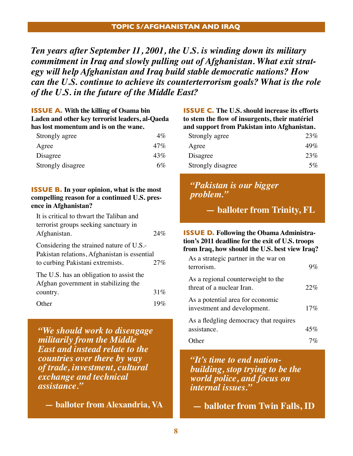*Ten years after September 11, 2001, the U.S. is winding down its military commitment in Iraq and slowly pulling out of Afghanistan. What exit strategy will help Afghanistan and Iraq build stable democratic nations? How can the U.S. continue to achieve its counterterrorism goals? What is the role of the U.S. in the future of the Middle East?*

| <b>ISSUE A.</b> With the killing of Osama bin   |                 |
|-------------------------------------------------|-----------------|
| Laden and other key terrorist leaders, al-Qaeda |                 |
| has lost momentum and is on the wane.           |                 |
| $C_{\text{trans}}$ also a anga                  | $A \mathcal{O}$ |

| Strongly agree    | $4\%$ |
|-------------------|-------|
| Agree             | 47%   |
| Disagree          | 43%   |
| Strongly disagree | 6%    |

#### **ISSUE B. In your opinion, what is the most compelling reason for a continued U.S. presence in Afghanistan?**

| It is critical to thwart the Taliban and                                                                                     |     |
|------------------------------------------------------------------------------------------------------------------------------|-----|
| terrorist groups seeking sanctuary in                                                                                        |     |
| Afghanistan.                                                                                                                 | 24% |
| Considering the strained nature of U.S.-<br>Pakistan relations, Afghanistan is essential<br>to curbing Pakistani extremists. | 27% |
| The U.S. has an obligation to assist the<br>Afghan government in stabilizing the                                             |     |
| country.                                                                                                                     | 31% |
| Other                                                                                                                        |     |

*"We should work to disengage militarily from the Middle East and instead relate to the countries over there by way of trade, investment, cultural exchange and technical assistance."*

**— balloter from Alexandria, VA**

#### **ISSUE C. The U.S. should increase its efforts to stem the flow of insurgents, their matériel and support from Pakistan into Afghanistan.**

| Strongly agree    | 23% |
|-------------------|-----|
| Agree             | 49% |
| Disagree          | 23% |
| Strongly disagree | 5%  |

#### *"Pakistan is our bigger problem."*

**— balloter from Trinity, FL**

#### **ISSUE D. Following the Obama Administration's 2011 deadline for the exit of U.S. troops from Iraq, how should the U.S. best view Iraq?**

| As a strategic partner in the war on<br>terrorism.              | $9\%$ |
|-----------------------------------------------------------------|-------|
| As a regional counterweight to the<br>threat of a nuclear Iran. | 22%   |
| As a potential area for economic<br>investment and development. | 17%   |
| As a fledgling democracy that requires<br>assistance.           | 45%   |
| )ther                                                           |       |

*"It's time to end nationbuilding, stop trying to be the world police, and focus on internal issues."*

**— balloter from Twin Falls, ID**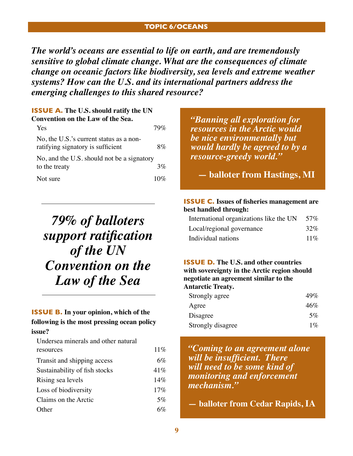#### **Topic 6/oceans**

*The world's oceans are essential to life on earth, and are tremendously sensitive to global climate change. What are the consequences of climate change on oceanic factors like biodiversity, sea levels and extreme weather systems? How can the U.S. and its international partners address the emerging challenges to this shared resource?*

#### **ISSUE A. The U.S. should ratify the UN Convention on the Law of the Sea.**

| <b>Yes</b>                                                                   | 70%  |
|------------------------------------------------------------------------------|------|
| No, the U.S.'s current status as a non-<br>ratifying signatory is sufficient | 8%   |
| No, and the U.S. should not be a signatory<br>to the treaty                  | 3%   |
| Not sure                                                                     | 10\% |

## *79% of balloters support ratification of the UN Convention on the Law of the Sea*

#### **ISSUE B. In your opinion, which of the following is the most pressing ocean policy**

#### **issue?**

| Undersea minerals and other natural |       |
|-------------------------------------|-------|
| resources                           | 11%   |
| Transit and shipping access         | $6\%$ |
| Sustainability of fish stocks       | 41%   |
| Rising sea levels                   | 14%   |
| Loss of biodiversity                | 17%   |
| Claims on the Arctic                | 5%    |
| Other                               | 6%    |

*"Banning all exploration for resources in the Arctic would be nice environmentally but would hardly be agreed to by a resource-greedy world."*

**— balloter from Hastings, MI**

#### **ISSUE C. Issues of fisheries management are best handled through:**

| International organizations like the UN | 57% |
|-----------------------------------------|-----|
| Local/regional governance               | 32% |
| Individual nations                      | 11% |

#### **ISSUE D. The U.S. and other countries with sovereignty in the Arctic region should negotiate an agreement similar to the Antarctic Treaty.**

| Strongly agree    | 49%   |
|-------------------|-------|
| Agree             | 46%   |
| Disagree          | 5%    |
| Strongly disagree | $1\%$ |

*"Coming to an agreement alone will be insufficient. There will need to be some kind of monitoring and enforcement mechanism."*

**— balloter from Cedar Rapids, IA**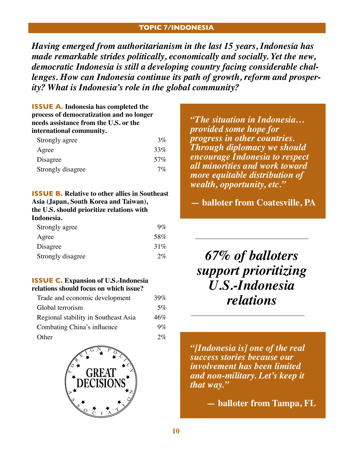#### **Topic 7/indonesia**

*Having emerged from authoritarianism in the last 15 years, Indonesia has made remarkable strides politically, economically and socially. Yet the new, democratic Indonesia is still a developing country facing considerable challenges. How can Indonesia continue its path of growth, reform and prosperity? What is Indonesia's role in the global community?*

#### **ISSUE A. Indonesia has completed the process of democratization and no longer needs assistance from the U.S. or the international community.**

| Strongly agree    | $3\%$ |
|-------------------|-------|
| Agree             | 33%   |
| Disagree          | 57%   |
| Strongly disagree | 7%    |

#### **ISSUE B. Relative to other allies in Southeast Asia (Japan, South Korea and Taiwan), the U.S. should prioritize relations with Indonesia.**

| Strongly agree    | $9\%$ |
|-------------------|-------|
| Agree             | 58%   |
| Disagree          | 31%   |
| Strongly disagree | 2%    |

#### **ISSUE C. Expansion of U.S.-Indonesia relations should focus on which issue?**

| Trade and economic development       | 39%   |
|--------------------------------------|-------|
| Global terrorism                     | 5%    |
| Regional stability in Southeast Asia | 46%   |
| Combating China's influence          | $9\%$ |
| Other                                | 2%    |



*"The situation in Indonesia… provided some hope for progress in other countries. Through diplomacy we should encourage Indonesia to respect all minorities and work toward more equitable distribution of wealth, opportunity, etc."*

**— balloter from Coatesville, PA**

*67% of balloters support prioritizing U.S.-Indonesia relations*

*"[Indonesia is] one of the real success stories because our involvement has been limited and non-military. Let's keep it that way."* 

**— balloter from Tampa, FL**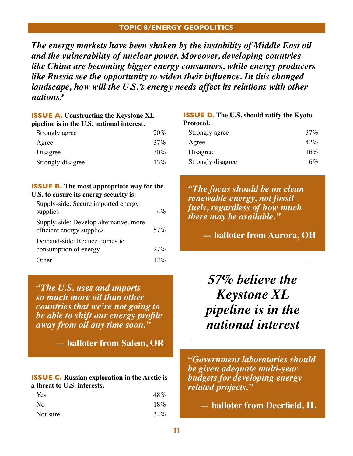#### **Topic 8/energy geopolitics**

*The energy markets have been shaken by the instability of Middle East oil and the vulnerability of nuclear power. Moreover, developing countries like China are becoming bigger energy consumers, while energy producers like Russia see the opportunity to widen their influence. In this changed landscape, how will the U.S.'s energy needs affect its relations with other nations?*

| <b>ISSUE A.</b> Constructing the Keystone XL<br>pipeline is in the U.S. national interest. |     |  |
|--------------------------------------------------------------------------------------------|-----|--|
| Strongly agree                                                                             | 20% |  |
| Agree                                                                                      | 37% |  |
| Disagree                                                                                   | 30% |  |
| Strongly disagree                                                                          | 13% |  |

#### **ISSUE B. The most appropriate way for the U.S. to ensure its energy security is:**

| Supply-side: Secure imported energy                                 |        |
|---------------------------------------------------------------------|--------|
| supplies                                                            | $4\%$  |
| Supply-side: Develop alternative, more<br>efficient energy supplies | 57%    |
| Demand-side: Reduce domestic                                        |        |
| consumption of energy                                               | 27%    |
| $\Omega$ ther                                                       | $12\%$ |

*"The U.S. uses and imports so much more oil than other countries that we're not going to be able to shift our energy profile away from oil any time soon."* 

**— balloter from Salem, OR**

**ISSUE C. Russian exploration in the Arctic is a threat to U.S. interests.**

| Yes       | 48% |
|-----------|-----|
| <b>No</b> | 18% |
| Not sure  | 34% |

| <b>ISSUE D.</b> The U.S. should ratify the Kyoto |     |  |
|--------------------------------------------------|-----|--|
| Protocol.                                        |     |  |
| Strongly agree                                   | 37% |  |
| Agree                                            | 42% |  |
| Disagree                                         | 16% |  |

Strongly disagree 6%

*"The focus should be on clean renewable energy, not fossil fuels, regardless of how much there may be available."*

**— balloter from Aurora, OH**

*57% believe the Keystone XL pipeline is in the national interest*

*"Government laboratories should be given adequate multi-year budgets for developing energy related projects."* 

**— balloter from Deerfield, IL**